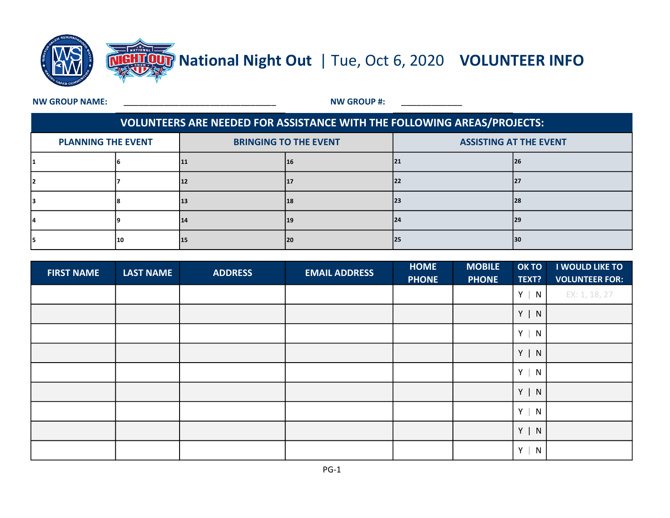

**NW GROUP NAME:** 

NW GROUP #:

## VOLUNTEERS ARE NEEDED FOR ASSISTANCE WITH THE FOLLOWING AREAS/PROJECTS:

| <b>PLANNING THE EVENT</b> |     | <b>BRINGING TO THE EVENT</b> |     | <b>ASSISTING AT THE EVENT</b> |     |  |  |
|---------------------------|-----|------------------------------|-----|-------------------------------|-----|--|--|
|                           |     | 11                           | τo  |                               | 126 |  |  |
|                           |     | 12                           |     | 22                            | 127 |  |  |
|                           |     | 13                           | 18  |                               | 128 |  |  |
|                           |     | 14                           | 19  | 24                            | 29  |  |  |
|                           | '10 | 15                           | 120 | 25                            | 30  |  |  |

| <b>FIRST NAME</b> | <b>LAST NAME</b> | <b>ADDRESS</b> | <b>EMAIL ADDRESS</b> | <b>HOME</b><br><b>PHONE</b> | <b>MOBILE</b><br><b>PHONE</b> | OK TO<br>TEXT? | I WOULD LIKE TO<br><b>VOLUNTEER FOR:</b> |
|-------------------|------------------|----------------|----------------------|-----------------------------|-------------------------------|----------------|------------------------------------------|
|                   |                  |                |                      |                             |                               | $Y \mid$<br>N  | EX: 1, 18, 27                            |
|                   |                  |                |                      |                             |                               | $Y \mid N$     |                                          |
|                   |                  |                |                      |                             |                               | $Y \mid N$     |                                          |
|                   |                  |                |                      |                             |                               | $Y \mid$<br>N  |                                          |
|                   |                  |                |                      |                             |                               | N<br>$Y \mid$  |                                          |
|                   |                  |                |                      |                             |                               | $Y \mid N$     |                                          |
|                   |                  |                |                      |                             |                               | $Y \mid$<br>N  |                                          |
|                   |                  |                |                      |                             |                               | $Y \mid N$     |                                          |
|                   |                  |                |                      |                             |                               | $Y \mid$<br>N  |                                          |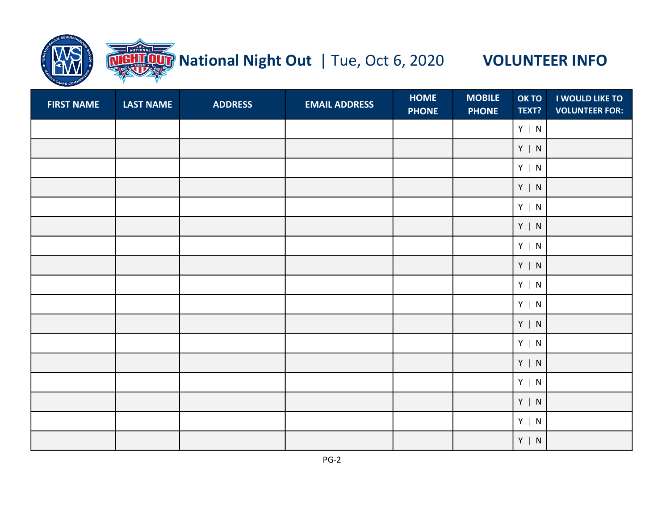

# **TOUT** National Night Out | Tue, Oct 6, 2020 VOLUNTEER INFO

| <b>FIRST NAME</b> | <b>LAST NAME</b> | <b>ADDRESS</b> | <b>EMAIL ADDRESS</b> | <b>HOME</b><br><b>PHONE</b> | <b>MOBILE</b><br><b>PHONE</b> | OK TO<br>TEXT?            | <b>I WOULD LIKE TO</b><br><b>VOLUNTEER FOR:</b> |
|-------------------|------------------|----------------|----------------------|-----------------------------|-------------------------------|---------------------------|-------------------------------------------------|
|                   |                  |                |                      |                             |                               | $Y \mid N$                |                                                 |
|                   |                  |                |                      |                             |                               | $Y \mid N$                |                                                 |
|                   |                  |                |                      |                             |                               | $Y \mid N$                |                                                 |
|                   |                  |                |                      |                             |                               | $Y \mid N$                |                                                 |
|                   |                  |                |                      |                             |                               | $\mathsf{Y}~ ~\mathsf{N}$ |                                                 |
|                   |                  |                |                      |                             |                               | $Y \mid N$                |                                                 |
|                   |                  |                |                      |                             |                               | $Y \mid N$                |                                                 |
|                   |                  |                |                      |                             |                               | $Y \mid N$                |                                                 |
|                   |                  |                |                      |                             |                               | $Y \mid N$                |                                                 |
|                   |                  |                |                      |                             |                               | $Y \mid N$                |                                                 |
|                   |                  |                |                      |                             |                               | $Y \mid N$                |                                                 |
|                   |                  |                |                      |                             |                               | $Y \mid N$                |                                                 |
|                   |                  |                |                      |                             |                               | $Y \mid N$                |                                                 |
|                   |                  |                |                      |                             |                               | $Y \mid N$                |                                                 |
|                   |                  |                |                      |                             |                               | $Y \mid N$                |                                                 |
|                   |                  |                |                      |                             |                               | $Y \mid N$                |                                                 |
|                   |                  |                |                      |                             |                               | $Y \mid N$                |                                                 |